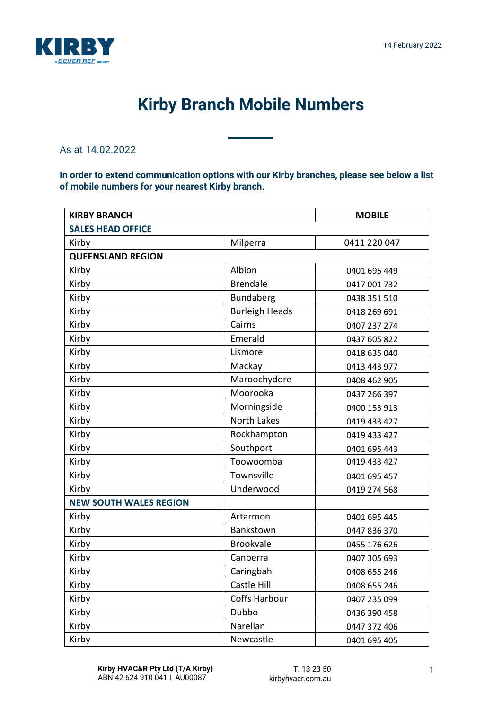

## **Kirby Branch Mobile Numbers**

As at 14.02.2022

**In order to extend communication options with our Kirby branches, please see below a list of mobile numbers for your nearest Kirby branch.**

| <b>KIRBY BRANCH</b>           |                       | <b>MOBILE</b> |  |
|-------------------------------|-----------------------|---------------|--|
| <b>SALES HEAD OFFICE</b>      |                       |               |  |
| Kirby                         | Milperra              | 0411 220 047  |  |
| <b>QUEENSLAND REGION</b>      |                       |               |  |
| Kirby                         | Albion                | 0401 695 449  |  |
| Kirby                         | <b>Brendale</b>       | 0417 001 732  |  |
| Kirby                         | Bundaberg             | 0438 351 510  |  |
| Kirby                         | <b>Burleigh Heads</b> | 0418 269 691  |  |
| Kirby                         | Cairns                | 0407 237 274  |  |
| Kirby                         | Emerald               | 0437 605 822  |  |
| Kirby                         | Lismore               | 0418 635 040  |  |
| Kirby                         | Mackay                | 0413 443 977  |  |
| Kirby                         | Maroochydore          | 0408 462 905  |  |
| Kirby                         | Moorooka              | 0437 266 397  |  |
| Kirby                         | Morningside           | 0400 153 913  |  |
| Kirby                         | <b>North Lakes</b>    | 0419 433 427  |  |
| Kirby                         | Rockhampton           | 0419 433 427  |  |
| Kirby                         | Southport             | 0401 695 443  |  |
| Kirby                         | Toowoomba             | 0419 433 427  |  |
| Kirby                         | Townsville            | 0401 695 457  |  |
| Kirby                         | Underwood             | 0419 274 568  |  |
| <b>NEW SOUTH WALES REGION</b> |                       |               |  |
| Kirby                         | Artarmon              | 0401 695 445  |  |
| Kirby                         | Bankstown             | 0447 836 370  |  |
| Kirby                         | <b>Brookvale</b>      | 0455 176 626  |  |
| Kirby                         | Canberra              | 0407 305 693  |  |
| Kirby                         | Caringbah             | 0408 655 246  |  |
| Kirby                         | Castle Hill           | 0408 655 246  |  |
| Kirby                         | <b>Coffs Harbour</b>  | 0407 235 099  |  |
| Kirby                         | Dubbo                 | 0436 390 458  |  |
| Kirby                         | Narellan              | 0447 372 406  |  |
| Kirby                         | Newcastle             | 0401 695 405  |  |